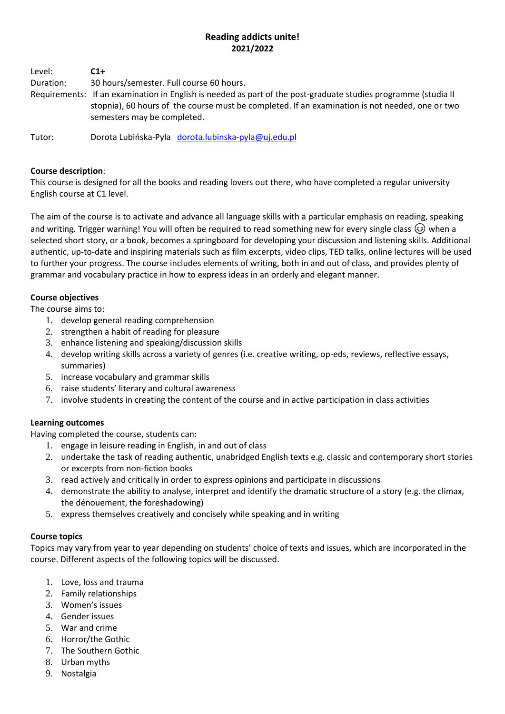## **Reading addicts unite! 2021/2022**

| Level:    | $C1+$                                    |
|-----------|------------------------------------------|
| Duration: | 30 hours/semester. Full course 60 hours. |

Requirements: If an examination in English is needed as part of the post-graduate studies programme (studia II stopnia), 60 hours of the course must be completed. If an examination is not needed, one or two semesters may be completed.

Tutor: Dorota Lubińska-Pyla [dorota.lubinska-pyla@uj.edu.pl](mailto:dorota.lubinska-pyla@uj.edu.pl)

### **Course description**:

This course is designed for all the books and reading lovers out there, who have completed a regular university English course at C1 level.

The aim of the course is to activate and advance all language skills with a particular emphasis on reading, speaking and writing. Trigger warning! You will often be required to read something new for every single class  $\circled{e}$  when a selected short story, or a book, becomes a springboard for developing your discussion and listening skills. Additional authentic, up-to-date and inspiring materials such as film excerpts, video clips, TED talks, online lectures will be used to further your progress. The course includes elements of writing, both in and out of class, and provides plenty of grammar and vocabulary practice in how to express ideas in an orderly and elegant manner.

## **Course objectives**

The course aims to:

- 1. develop general reading comprehension
- 2. strengthen a habit of reading for pleasure
- 3. enhance listening and speaking/discussion skills
- 4. develop writing skills across a variety of genres (i.e. creative writing, op-eds, reviews, reflective essays, summaries)
- 5. increase vocabulary and grammar skills
- 6. raise students' literary and cultural awareness
- 7. involve students in creating the content of the course and in active participation in class activities

# **Learning outcomes**

Having completed the course, students can:

- 1. engage in leisure reading in English, in and out of class
- 2. undertake the task of reading authentic, unabridged English texts e.g. classic and contemporary short stories or excerpts from non-fiction books
- 3. read actively and critically in order to express opinions and participate in discussions
- 4. demonstrate the ability to analyse, interpret and identify the dramatic structure of a story (e.g. the climax, the dénouement, the foreshadowing)
- 5. express themselves creatively and concisely while speaking and in writing

#### **Course topics**

Topics may vary from year to year depending on students' choice of texts and issues, which are incorporated in the course. Different aspects of the following topics will be discussed.

- 1. Love, loss and trauma
- 2. Family relationships
- 3. Women's issues
- 4. Gender issues
- 5. War and crime
- 6. Horror/the Gothic
- 7. The Southern Gothic
- 8. Urban myths
- 9. Nostalgia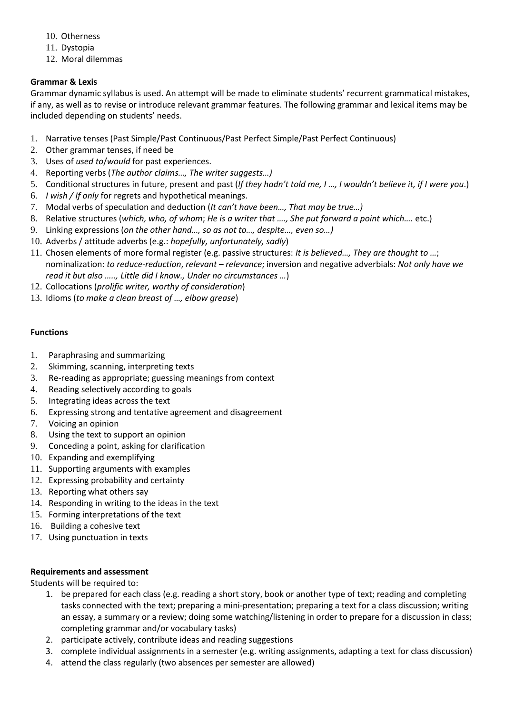- 10. Otherness
- 11. Dystopia
- 12. Moral dilemmas

# **Grammar & Lexis**

Grammar dynamic syllabus is used. An attempt will be made to eliminate students' recurrent grammatical mistakes, if any, as well as to revise or introduce relevant grammar features. The following grammar and lexical items may be included depending on students' needs.

- 1. Narrative tenses (Past Simple/Past Continuous/Past Perfect Simple/Past Perfect Continuous)
- 2. Other grammar tenses, if need be
- 3. Uses of *used to*/*would* for past experiences.
- 4. Reporting verbs (*The author claims…, The writer suggests…)*
- 5. Conditional structures in future, present and past (*If they hadn't told me, I …, I wouldn't believe it, if I were you*.)
- 6. *I wish / If only* for regrets and hypothetical meanings.
- 7. Modal verbs of speculation and deduction (*It can't have been…, That may be true…)*
- 8. Relative structures (*which, who, of whom*; *He is a writer that …., She put forward a point which….* etc.)
- 9. Linking expressions (*on the other hand…, so as not to…, despite…, even so…)*
- 10. Adverbs / attitude adverbs (e.g.: *hopefully, unfortunately, sadly*)
- 11. Chosen elements of more formal register (e.g. passive structures: *It is believed…, They are thought to …*; nominalization: *to reduce-reduction*, *relevant – relevance*; inversion and negative adverbials: *Not only have we read it but also ….., Little did I know., Under no circumstances …*)
- 12. Collocations (*prolific writer, worthy of consideration*)
- 13. Idioms (*to make a clean breast of …, elbow grease*)

## **Functions**

- 1. Paraphrasing and summarizing
- 2. Skimming, scanning, interpreting texts
- 3. Re-reading as appropriate; guessing meanings from context
- 4. Reading selectively according to goals
- 5. Integrating ideas across the text
- 6. Expressing strong and tentative agreement and disagreement
- 7. Voicing an opinion
- 8. Using the text to support an opinion
- 9. Conceding a point, asking for clarification
- 10. Expanding and exemplifying
- 11. Supporting arguments with examples
- 12. Expressing probability and certainty
- 13. Reporting what others say
- 14. Responding in writing to the ideas in the text
- 15. Forming interpretations of the text
- 16. Building a cohesive text
- 17. Using punctuation in texts

#### **Requirements and assessment**

Students will be required to:

- 1. be prepared for each class (e.g. reading a short story, book or another type of text; reading and completing tasks connected with the text; preparing a mini-presentation; preparing a text for a class discussion; writing an essay, a summary or a review; doing some watching/listening in order to prepare for a discussion in class; completing grammar and/or vocabulary tasks)
- 2. participate actively, contribute ideas and reading suggestions
- 3. complete individual assignments in a semester (e.g. writing assignments, adapting a text for class discussion)
- 4. attend the class regularly (two absences per semester are allowed)